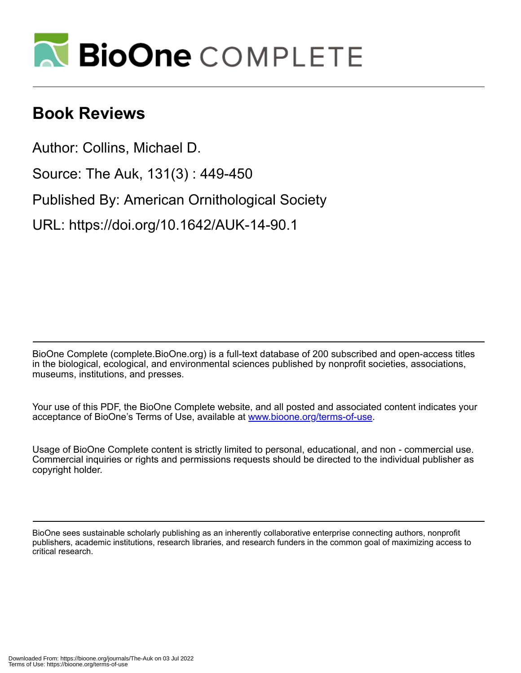

## **Book Reviews**

Author: Collins, Michael D.

Source: The Auk, 131(3) : 449-450

Published By: American Ornithological Society

URL: https://doi.org/10.1642/AUK-14-90.1

BioOne Complete (complete.BioOne.org) is a full-text database of 200 subscribed and open-access titles in the biological, ecological, and environmental sciences published by nonprofit societies, associations, museums, institutions, and presses.

Your use of this PDF, the BioOne Complete website, and all posted and associated content indicates your acceptance of BioOne's Terms of Use, available at www.bioone.org/terms-of-use.

Usage of BioOne Complete content is strictly limited to personal, educational, and non - commercial use. Commercial inquiries or rights and permissions requests should be directed to the individual publisher as copyright holder.

BioOne sees sustainable scholarly publishing as an inherently collaborative enterprise connecting authors, nonprofit publishers, academic institutions, research libraries, and research funders in the common goal of maximizing access to critical research.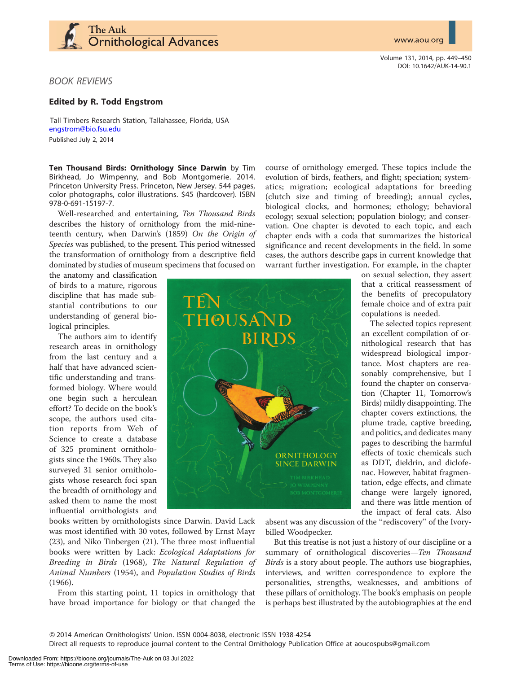www.aou.org



Volume 131, 2014, pp. 449–450 DOI: 10.1642/AUK-14-90.1

## BOOK REVIEWS

## Edited by R. Todd Engstrom

Tall Timbers Research Station, Tallahassee, Florida, USA [engstrom@bio.fsu.edu](mailto:) Published July 2, 2014

Ten Thousand Birds: Ornithology Since Darwin by Tim Birkhead, Jo Wimpenny, and Bob Montgomerie. 2014. Princeton University Press. Princeton, New Jersey. 544 pages, color photographs, color illustrations. \$45 (hardcover). ISBN 978-0-691-15197-7.

Well-researched and entertaining, Ten Thousand Birds describes the history of ornithology from the mid-nineteenth century, when Darwin's (1859) On the Origin of Species was published, to the present. This period witnessed the transformation of ornithology from a descriptive field dominated by studies of museum specimens that focused on

the anatomy and classification of birds to a mature, rigorous discipline that has made substantial contributions to our understanding of general biological principles.

The authors aim to identify research areas in ornithology from the last century and a half that have advanced scientific understanding and transformed biology. Where would one begin such a herculean effort? To decide on the book's scope, the authors used citation reports from Web of Science to create a database of 325 prominent ornithologists since the 1960s. They also surveyed 31 senior ornithologists whose research foci span the breadth of ornithology and asked them to name the most influential ornithologists and THOUSÁNI **BIRDS** ORNITHOLOGY **SINCE DARWIN** 

course of ornithology emerged. These topics include the evolution of birds, feathers, and flight; speciation; systematics; migration; ecological adaptations for breeding (clutch size and timing of breeding); annual cycles, biological clocks, and hormones; ethology; behavioral ecology; sexual selection; population biology; and conservation. One chapter is devoted to each topic, and each chapter ends with a coda that summarizes the historical significance and recent developments in the field. In some cases, the authors describe gaps in current knowledge that warrant further investigation. For example, in the chapter

on sexual selection, they assert that a critical reassessment of the benefits of precopulatory female choice and of extra pair copulations is needed.

The selected topics represent an excellent compilation of ornithological research that has widespread biological importance. Most chapters are reasonably comprehensive, but I found the chapter on conservation (Chapter 11, Tomorrow's Birds) mildly disappointing. The chapter covers extinctions, the plume trade, captive breeding, and politics, and dedicates many pages to describing the harmful effects of toxic chemicals such as DDT, dieldrin, and diclofenac. However, habitat fragmentation, edge effects, and climate change were largely ignored, and there was little mention of the impact of feral cats. Also

books written by ornithologists since Darwin. David Lack was most identified with 30 votes, followed by Ernst Mayr (23), and Niko Tinbergen (21). The three most influential books were written by Lack: Ecological Adaptations for Breeding in Birds (1968), The Natural Regulation of Animal Numbers (1954), and Population Studies of Birds (1966).

From this starting point, 11 topics in ornithology that have broad importance for biology or that changed the

absent was any discussion of the ''rediscovery'' of the Ivorybilled Woodpecker.

But this treatise is not just a history of our discipline or a summary of ornithological discoveries-Ten Thousand Birds is a story about people. The authors use biographies, interviews, and written correspondence to explore the personalities, strengths, weaknesses, and ambitions of these pillars of ornithology. The book's emphasis on people is perhaps best illustrated by the autobiographies at the end

Q 2014 American Ornithologists' Union. ISSN 0004-8038, electronic ISSN 1938-4254

Direct all requests to reproduce journal content to the Central Ornithology Publication Office at aoucospubs@gmail.com